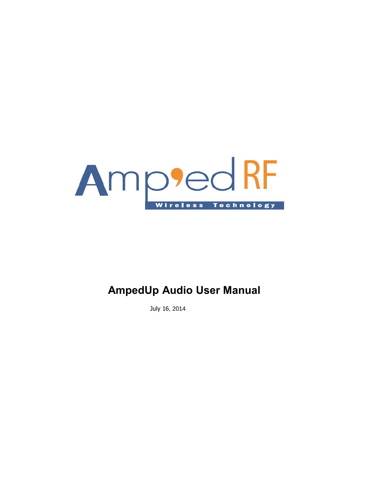

# **AmpedUp Audio User Manual**

July 16, 2014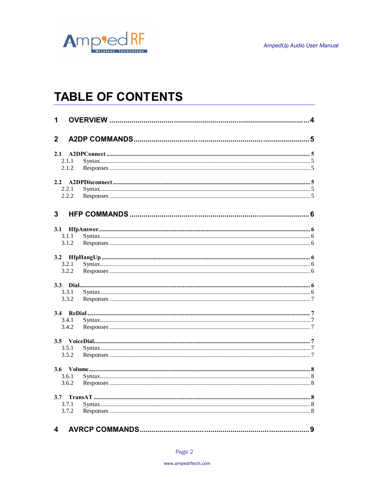

# **TABLE OF CONTENTS**

| 1            |       |  |  |  |
|--------------|-------|--|--|--|
| $\mathbf{2}$ |       |  |  |  |
| 2.1          |       |  |  |  |
|              | 2.1.1 |  |  |  |
|              | 2.1.2 |  |  |  |
|              |       |  |  |  |
|              | 2.2.1 |  |  |  |
|              | 2.2.2 |  |  |  |
| 3            |       |  |  |  |
| 3.1          |       |  |  |  |
|              | 3.1.1 |  |  |  |
|              | 3.1.2 |  |  |  |
|              |       |  |  |  |
|              | 3.2.1 |  |  |  |
|              | 3.2.2 |  |  |  |
|              |       |  |  |  |
|              | 3.3.1 |  |  |  |
|              | 3.3.2 |  |  |  |
|              |       |  |  |  |
|              | 3.4.1 |  |  |  |
|              | 3.4.2 |  |  |  |
|              |       |  |  |  |
|              | 3.5.1 |  |  |  |
|              | 3.5.2 |  |  |  |
|              |       |  |  |  |
|              | 3.6.1 |  |  |  |
|              | 3.6.2 |  |  |  |
| 3.7          |       |  |  |  |
|              | 3.7.1 |  |  |  |
|              | 3.7.2 |  |  |  |
| 4            |       |  |  |  |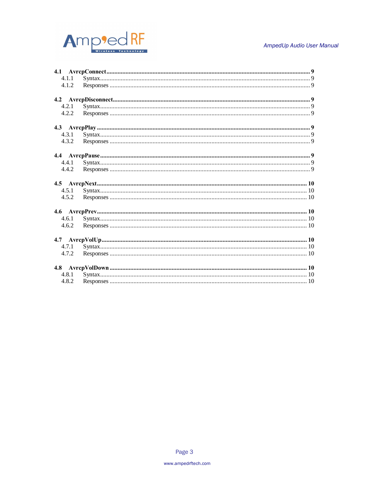

#### AmpedUp Audio User Manual

| 4.1.1 |  |
|-------|--|
| 4.1.2 |  |
|       |  |
| 4.2.1 |  |
| 4.2.2 |  |
|       |  |
| 4.3.1 |  |
| 4.3.2 |  |
|       |  |
| 4.4.1 |  |
| 4.4.2 |  |
|       |  |
| 4.5.1 |  |
| 4.5.2 |  |
|       |  |
| 4.6.1 |  |
| 4.6.2 |  |
|       |  |
| 4.7.1 |  |
| 4.7.2 |  |
|       |  |
| 4.8.1 |  |
| 4.8.2 |  |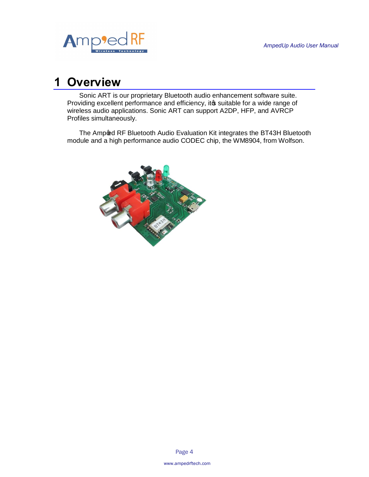

# **1 Overview**

Sonic ART is our proprietary Bluetooth audio enhancement software suite. Providing excellent performance and efficiency, it suitable for a wide range of wireless audio applications. Sonic ART can support A2DP, HFP, and AVRCP Profiles simultaneously.

The Amp@d RF Bluetooth Audio Evaluation Kit integrates the BT43H Bluetooth module and a high performance audio CODEC chip, the WM8904, from Wolfson.

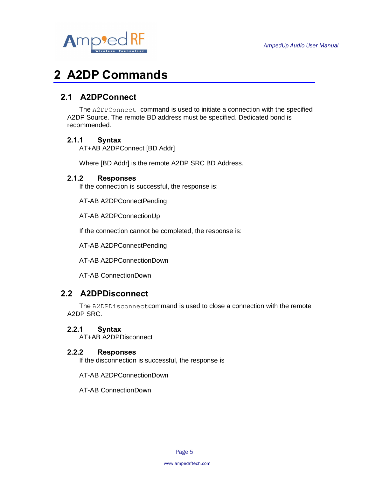

# **2 A2DP Commands**

# **2.1 A2DPConnect**

The A2DPConnect command is used to initiate a connection with the specified A2DP Source. The remote BD address must be specified. Dedicated bond is recommended.

## **2.1.1 Syntax**

AT+AB A2DPConnect [BD Addr]

Where [BD Addr] is the remote A2DP SRC BD Address.

## **2.1.2 Responses**

If the connection is successful, the response is:

AT-AB A2DPConnectPending

AT-AB A2DPConnectionUp

If the connection cannot be completed, the response is:

AT-AB A2DPConnectPending

AT-AB A2DPConnectionDown

AT-AB ConnectionDown

# **2.2 A2DPDisconnect**

The A2DPDisconnectcommand is used to close a connection with the remote A2DP SRC.

## **2.2.1 Syntax**

AT+AB A2DPDisconnect

## **2.2.2 Responses**

If the disconnection is successful, the response is

AT-AB A2DPConnectionDown

AT-AB ConnectionDown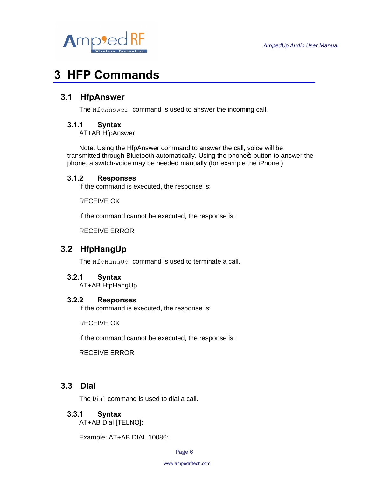

# **3 HFP Commands**

## **3.1 HfpAnswer**

The **HfpAnswer** command is used to answer the incoming call.

## **3.1.1 Syntax**

AT+AB HfpAnswer

Note: Using the HfpAnswer command to answer the call, voice will be transmitted through Bluetooth automatically. Using the phone oputton to answer the phone, a switch-voice may be needed manually (for example the iPhone.)

#### **3.1.2 Responses**

If the command is executed, the response is:

RECEIVE OK

If the command cannot be executed, the response is:

RECEIVE ERROR

# **3.2 HfpHangUp**

The HfpHangUp command is used to terminate a call.

## **3.2.1 Syntax**

AT+AB HfpHangUp

#### **3.2.2 Responses**

If the command is executed, the response is:

RECEIVE OK

If the command cannot be executed, the response is:

RECEIVE ERROR

# **3.3 Dial**

The Dial command is used to dial a call.

## **3.3.1 Syntax**

AT+AB Dial [TELNO];

Example: AT+AB DIAL 10086;

Page 6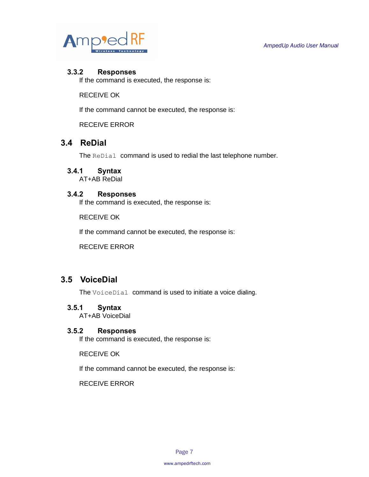

### **3.3.2 Responses**

If the command is executed, the response is:

RECEIVE OK

If the command cannot be executed, the response is:

RECEIVE ERROR

# **3.4 ReDial**

The ReDial command is used to redial the last telephone number.

## **3.4.1 Syntax**

AT+AB ReDial

### **3.4.2 Responses**

If the command is executed, the response is:

RECEIVE OK

If the command cannot be executed, the response is:

RECEIVE ERROR

# **3.5 VoiceDial**

The VoiceDial command is used to initiate a voice dialing.

#### **3.5.1 Syntax**

AT+AB VoiceDial

#### **3.5.2 Responses**

If the command is executed, the response is:

RECEIVE OK

If the command cannot be executed, the response is:

RECEIVE ERROR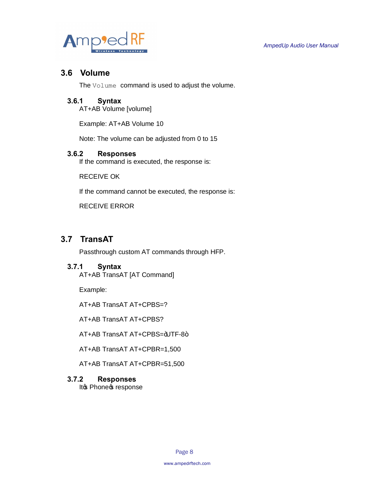

## **3.6 Volume**

The Volume command is used to adjust the volume.

## **3.6.1 Syntax**

AT+AB Volume [volume]

Example: AT+AB Volume 10

Note: The volume can be adjusted from 0 to 15

#### **3.6.2 Responses**

If the command is executed, the response is:

RECEIVE OK

If the command cannot be executed, the response is:

RECEIVE ERROR

# **3.7 TransAT**

Passthrough custom AT commands through HFP.

#### **3.7.1 Syntax**

AT+AB TransAT [AT Command]

Example:

AT+AB TransAT AT+CPBS=?

AT+AB TransAT AT+CPBS?

AT+AB TransAT AT+CPBS=+UTF-8+

AT+AB TransAT AT+CPBR=1,500

AT+AB TransAT AT+CPBR=51,500

#### **3.7.2 Responses**

It & Phone & response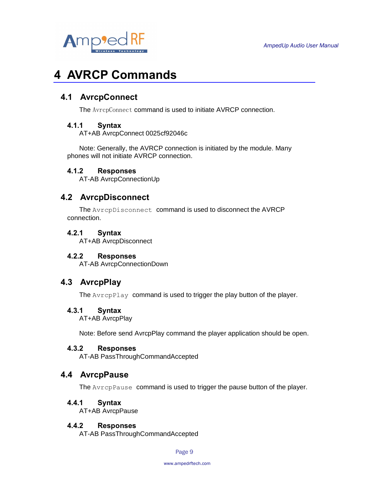

# **4 AVRCP Commands**

# **4.1 AvrcpConnect**

The AvrcpConnect command is used to initiate AVRCP connection.

### **4.1.1 Syntax**

AT+AB AvrcpConnect 0025cf92046c

Note: Generally, the AVRCP connection is initiated by the module. Many phones will not initiate AVRCP connection.

### **4.1.2 Responses**

AT-AB AvrcpConnectionUp

## **4.2 AvrcpDisconnect**

The AvrcpDisconnect command is used to disconnect the AVRCP connection.

#### **4.2.1 Syntax**

AT+AB AvrcpDisconnect

#### **4.2.2 Responses**

AT-AB AvrcpConnectionDown

## **4.3 AvrcpPlay**

The AvrcpPlay command is used to trigger the play button of the player.

#### **4.3.1 Syntax**

AT+AB AvrcpPlay

Note: Before send AvrcpPlay command the player application should be open.

#### **4.3.2 Responses**

AT-AB PassThroughCommandAccepted

## **4.4 AvrcpPause**

The AvrcpPause command is used to trigger the pause button of the player.

#### **4.4.1 Syntax**

AT+AB AvrcpPause

#### **4.4.2 Responses**

AT-AB PassThroughCommandAccepted

Page 9